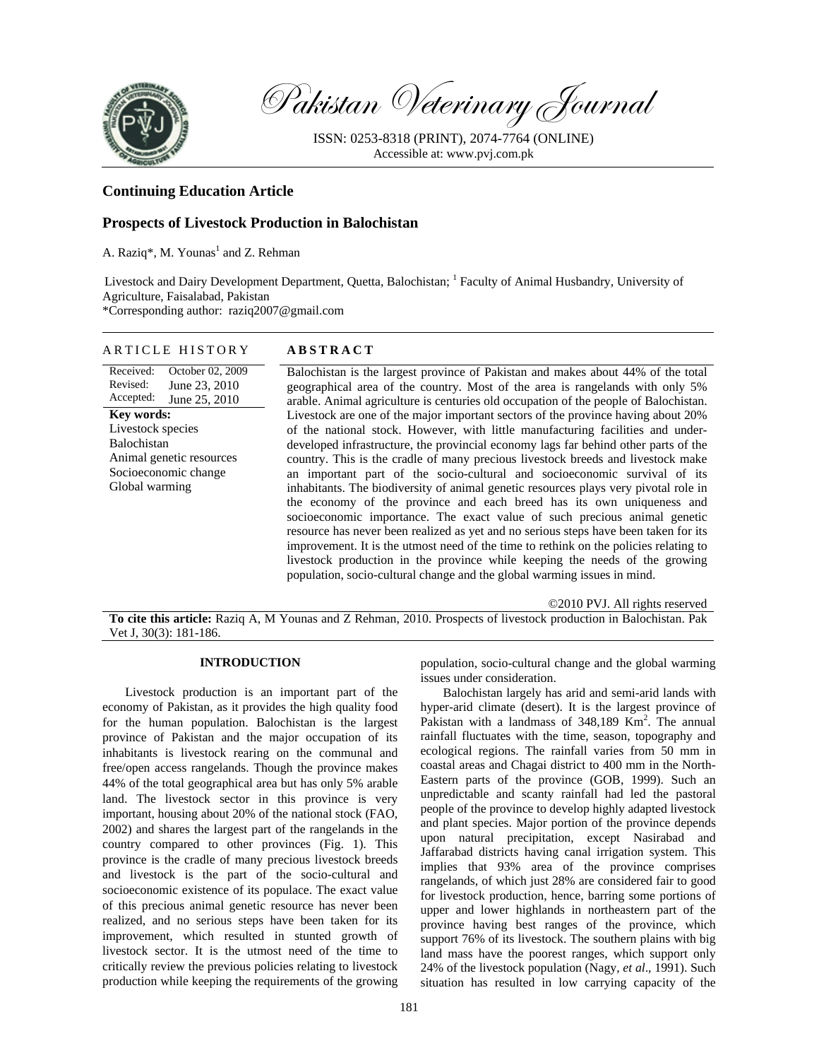

Pakistan Veterinary Journal

ISSN: 0253-8318 (PRINT), 2074-7764 (ONLINE) Accessible at: www.pvj.com.pk

# **Continuing Education Article**

## **Prospects of Livestock Production in Balochistan**

A. Raziq<sup>\*</sup>, M. Younas<sup>1</sup> and Z. Rehman

Livestock and Dairy Development Department, Quetta, Balochistan; <sup>1</sup> Faculty of Animal Husbandry, University of Agriculture, Faisalabad, Pakistan

\*Corresponding author: raziq2007@gmail.com

ARTICLE HISTORY **ABSTRACT** 

| AKIIULE FIINIUKI                                                                         | A D D I K A U I                                                                                                                                                                                                                                                                                                                                                                                                                                                                                                                                                                        |
|------------------------------------------------------------------------------------------|----------------------------------------------------------------------------------------------------------------------------------------------------------------------------------------------------------------------------------------------------------------------------------------------------------------------------------------------------------------------------------------------------------------------------------------------------------------------------------------------------------------------------------------------------------------------------------------|
| Received:<br>October 02, 2009<br>Revised:<br>June 23, 2010<br>Accepted:<br>June 25, 2010 | Balochistan is the largest province of Pakistan and makes about 44% of the total<br>geographical area of the country. Most of the area is rangelands with only 5%<br>arable. Animal agriculture is centuries old occupation of the people of Balochistan.                                                                                                                                                                                                                                                                                                                              |
| <b>Key words:</b>                                                                        | Livestock are one of the major important sectors of the province having about 20%                                                                                                                                                                                                                                                                                                                                                                                                                                                                                                      |
| Livestock species                                                                        | of the national stock. However, with little manufacturing facilities and under-                                                                                                                                                                                                                                                                                                                                                                                                                                                                                                        |
| Balochistan                                                                              | developed infrastructure, the provincial economy lags far behind other parts of the                                                                                                                                                                                                                                                                                                                                                                                                                                                                                                    |
| Animal genetic resources                                                                 | country. This is the cradle of many precious livestock breeds and livestock make                                                                                                                                                                                                                                                                                                                                                                                                                                                                                                       |
| Socioeconomic change                                                                     | an important part of the socio-cultural and socioeconomic survival of its                                                                                                                                                                                                                                                                                                                                                                                                                                                                                                              |
| Global warming                                                                           | inhabitants. The biodiversity of animal genetic resources plays very pivotal role in<br>the economy of the province and each breed has its own uniqueness and<br>socioeconomic importance. The exact value of such precious animal genetic<br>resource has never been realized as yet and no serious steps have been taken for its<br>improvement. It is the utmost need of the time to rethink on the policies relating to<br>livestock production in the province while keeping the needs of the growing<br>population, socio-cultural change and the global warming issues in mind. |
|                                                                                          |                                                                                                                                                                                                                                                                                                                                                                                                                                                                                                                                                                                        |

©2010 PVJ. All rights reserved **To cite this article:** Raziq A, M Younas and Z Rehman, 2010. Prospects of livestock production in Balochistan. Pak Vet J, 30(3): 181-186.

# **INTRODUCTION**

Livestock production is an important part of the economy of Pakistan, as it provides the high quality food for the human population. Balochistan is the largest province of Pakistan and the major occupation of its inhabitants is livestock rearing on the communal and free/open access rangelands. Though the province makes 44% of the total geographical area but has only 5% arable land. The livestock sector in this province is very important, housing about 20% of the national stock (FAO, 2002) and shares the largest part of the rangelands in the country compared to other provinces (Fig. 1). This province is the cradle of many precious livestock breeds and livestock is the part of the socio-cultural and socioeconomic existence of its populace. The exact value of this precious animal genetic resource has never been realized, and no serious steps have been taken for its improvement, which resulted in stunted growth of livestock sector. It is the utmost need of the time to critically review the previous policies relating to livestock production while keeping the requirements of the growing

population, socio-cultural change and the global warming issues under consideration.

Balochistan largely has arid and semi-arid lands with hyper-arid climate (desert). It is the largest province of Pakistan with a landmass of 348,189 Km<sup>2</sup>. The annual rainfall fluctuates with the time, season, topography and ecological regions. The rainfall varies from 50 mm in coastal areas and Chagai district to 400 mm in the North-Eastern parts of the province (GOB, 1999). Such an unpredictable and scanty rainfall had led the pastoral people of the province to develop highly adapted livestock and plant species. Major portion of the province depends upon natural precipitation, except Nasirabad and Jaffarabad districts having canal irrigation system. This implies that 93% area of the province comprises rangelands, of which just 28% are considered fair to good for livestock production, hence, barring some portions of upper and lower highlands in northeastern part of the province having best ranges of the province, which support 76% of its livestock. The southern plains with big land mass have the poorest ranges, which support only 24% of the livestock population (Nagy, *et al*., 1991). Such situation has resulted in low carrying capacity of the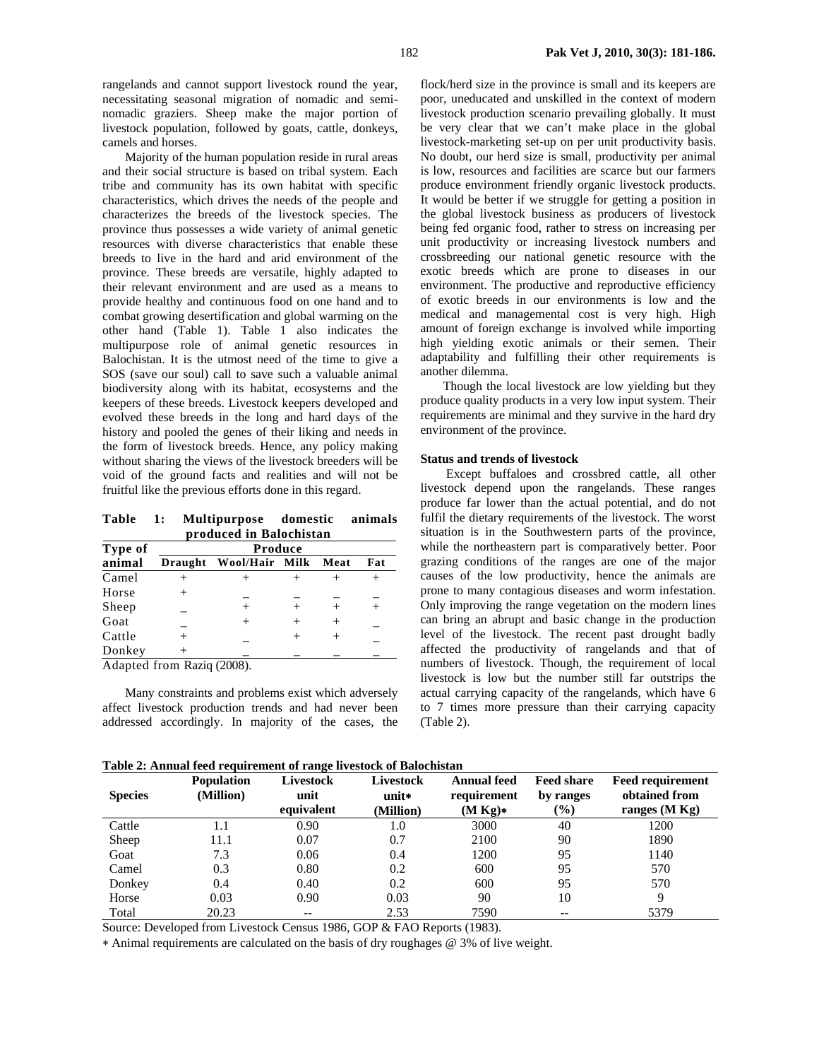rangelands and cannot support livestock round the year, necessitating seasonal migration of nomadic and seminomadic graziers. Sheep make the major portion of livestock population, followed by goats, cattle, donkeys, camels and horses.

Majority of the human population reside in rural areas and their social structure is based on tribal system. Each tribe and community has its own habitat with specific characteristics, which drives the needs of the people and characterizes the breeds of the livestock species. The province thus possesses a wide variety of animal genetic resources with diverse characteristics that enable these breeds to live in the hard and arid environment of the province. These breeds are versatile, highly adapted to their relevant environment and are used as a means to provide healthy and continuous food on one hand and to combat growing desertification and global warming on the other hand (Table 1). Table 1 also indicates the multipurpose role of animal genetic resources in Balochistan. It is the utmost need of the time to give a SOS (save our soul) call to save such a valuable animal biodiversity along with its habitat, ecosystems and the keepers of these breeds. Livestock keepers developed and evolved these breeds in the long and hard days of the history and pooled the genes of their liking and needs in the form of livestock breeds. Hence, any policy making without sharing the views of the livestock breeders will be void of the ground facts and realities and will not be fruitful like the previous efforts done in this regard.

**Table 1: Multipurpose domestic animals produced in Balochistan** 

| Type of | Produce        |                |  |      |  |  |  |
|---------|----------------|----------------|--|------|--|--|--|
| animal  | <b>Draught</b> | Wool/Hair Milk |  | Meat |  |  |  |
| Camel   |                |                |  |      |  |  |  |
| Horse   |                |                |  |      |  |  |  |
| Sheep   |                |                |  |      |  |  |  |
| Goat    |                | $^+$           |  |      |  |  |  |
| Cattle  |                |                |  |      |  |  |  |
| Donkey  |                |                |  |      |  |  |  |

Adapted from Raziq (2008).

Many constraints and problems exist which adversely affect livestock production trends and had never been addressed accordingly. In majority of the cases, the

flock/herd size in the province is small and its keepers are poor, uneducated and unskilled in the context of modern livestock production scenario prevailing globally. It must be very clear that we can't make place in the global livestock-marketing set-up on per unit productivity basis. No doubt, our herd size is small, productivity per animal is low, resources and facilities are scarce but our farmers produce environment friendly organic livestock products. It would be better if we struggle for getting a position in the global livestock business as producers of livestock being fed organic food, rather to stress on increasing per unit productivity or increasing livestock numbers and crossbreeding our national genetic resource with the exotic breeds which are prone to diseases in our environment. The productive and reproductive efficiency of exotic breeds in our environments is low and the medical and managemental cost is very high. High amount of foreign exchange is involved while importing high yielding exotic animals or their semen. Their adaptability and fulfilling their other requirements is another dilemma.

Though the local livestock are low yielding but they produce quality products in a very low input system. Their requirements are minimal and they survive in the hard dry environment of the province.

### **Status and trends of livestock**

Except buffaloes and crossbred cattle, all other livestock depend upon the rangelands. These ranges produce far lower than the actual potential, and do not fulfil the dietary requirements of the livestock. The worst situation is in the Southwestern parts of the province, while the northeastern part is comparatively better. Poor grazing conditions of the ranges are one of the major causes of the low productivity, hence the animals are prone to many contagious diseases and worm infestation. Only improving the range vegetation on the modern lines can bring an abrupt and basic change in the production level of the livestock. The recent past drought badly affected the productivity of rangelands and that of numbers of livestock. Though, the requirement of local livestock is low but the number still far outstrips the actual carrying capacity of the rangelands, which have 6 to 7 times more pressure than their carrying capacity (Table 2).

**Table 2: Annual feed requirement of range livestock of Balochistan** 

| <b>Species</b> | <b>Population</b><br>(Million) | <b>Livestock</b><br>unit<br>equivalent | Livestock<br>$unit*$<br>(Million) | <b>Annual feed</b><br>requirement<br>(M Kg) | <b>Feed share</b><br>by ranges<br>$(\%)$ | <b>Feed requirement</b><br>obtained from<br>ranges $(M Kg)$ |
|----------------|--------------------------------|----------------------------------------|-----------------------------------|---------------------------------------------|------------------------------------------|-------------------------------------------------------------|
| Cattle         | 1.1                            | 0.90                                   | 1.0                               | 3000                                        | 40                                       | 1200                                                        |
| Sheep          | 11.1                           | 0.07                                   | 0.7                               | 2100                                        | 90                                       | 1890                                                        |
| Goat           | 7.3                            | 0.06                                   | 0.4                               | 1200                                        | 95                                       | 1140                                                        |
| Camel          | 0.3                            | 0.80                                   | 0.2                               | 600                                         | 95                                       | 570                                                         |
| Donkey         | 0.4                            | 0.40                                   | 0.2                               | 600                                         | 95                                       | 570                                                         |
| Horse          | 0.03                           | 0.90                                   | 0.03                              | 90                                          | 10                                       | 9                                                           |
| Total          | 20.23                          |                                        | 2.53                              | 7590                                        | $- -$                                    | 5379                                                        |

Source: Developed from Livestock Census 1986, GOP & FAO Reports (1983).

∗ Animal requirements are calculated on the basis of dry roughages @ 3% of live weight.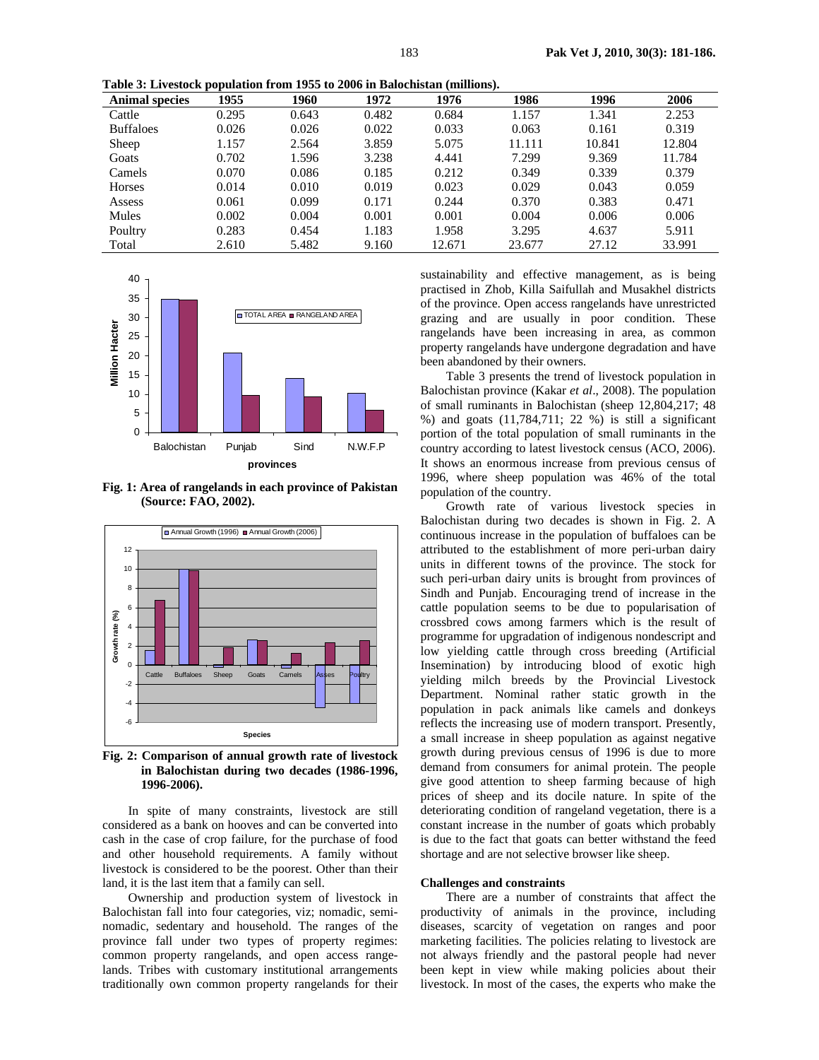**Table 3: Livestock population from 1955 to 2006 in Balochistan (millions).**

| <b>Animal species</b> | 1955  | 1960  | 1972  | 1976   | 1986   | 1996   | 2006   |
|-----------------------|-------|-------|-------|--------|--------|--------|--------|
| Cattle                | 0.295 | 0.643 | 0.482 | 0.684  | 1.157  | 1.341  | 2.253  |
| <b>Buffaloes</b>      | 0.026 | 0.026 | 0.022 | 0.033  | 0.063  | 0.161  | 0.319  |
| Sheep                 | 1.157 | 2.564 | 3.859 | 5.075  | 11.111 | 10.841 | 12.804 |
| Goats                 | 0.702 | 1.596 | 3.238 | 4.441  | 7.299  | 9.369  | 11.784 |
| Camels                | 0.070 | 0.086 | 0.185 | 0.212  | 0.349  | 0.339  | 0.379  |
| Horses                | 0.014 | 0.010 | 0.019 | 0.023  | 0.029  | 0.043  | 0.059  |
| Assess                | 0.061 | 0.099 | 0.171 | 0.244  | 0.370  | 0.383  | 0.471  |
| Mules                 | 0.002 | 0.004 | 0.001 | 0.001  | 0.004  | 0.006  | 0.006  |
| Poultry               | 0.283 | 0.454 | 1.183 | 1.958  | 3.295  | 4.637  | 5.911  |
| Total                 | 2.610 | 5.482 | 9.160 | 12.671 | 23.677 | 27.12  | 33.991 |



**Fig. 1: Area of rangelands in each province of Pakistan (Source: FAO, 2002).** 



**Fig. 2: Comparison of annual growth rate of livestock in Balochistan during two decades (1986-1996, 1996-2006).** 

In spite of many constraints, livestock are still considered as a bank on hooves and can be converted into cash in the case of crop failure, for the purchase of food and other household requirements. A family without livestock is considered to be the poorest. Other than their land, it is the last item that a family can sell.

Ownership and production system of livestock in Balochistan fall into four categories, viz; nomadic, seminomadic, sedentary and household. The ranges of the province fall under two types of property regimes: common property rangelands, and open access rangelands. Tribes with customary institutional arrangements traditionally own common property rangelands for their

sustainability and effective management, as is being practised in Zhob, Killa Saifullah and Musakhel districts of the province. Open access rangelands have unrestricted grazing and are usually in poor condition. These rangelands have been increasing in area, as common property rangelands have undergone degradation and have been abandoned by their owners.

Table 3 presents the trend of livestock population in Balochistan province (Kakar *et al*., 2008). The population of small ruminants in Balochistan (sheep 12,804,217; 48 %) and goats (11,784,711; 22 %) is still a significant portion of the total population of small ruminants in the country according to latest livestock census (ACO, 2006). It shows an enormous increase from previous census of 1996, where sheep population was 46% of the total population of the country.

Growth rate of various livestock species in Balochistan during two decades is shown in Fig. 2. A continuous increase in the population of buffaloes can be attributed to the establishment of more peri-urban dairy units in different towns of the province. The stock for such peri-urban dairy units is brought from provinces of Sindh and Punjab. Encouraging trend of increase in the cattle population seems to be due to popularisation of crossbred cows among farmers which is the result of programme for upgradation of indigenous nondescript and low yielding cattle through cross breeding (Artificial Insemination) by introducing blood of exotic high yielding milch breeds by the Provincial Livestock Department. Nominal rather static growth in the population in pack animals like camels and donkeys reflects the increasing use of modern transport. Presently, a small increase in sheep population as against negative growth during previous census of 1996 is due to more demand from consumers for animal protein. The people give good attention to sheep farming because of high prices of sheep and its docile nature. In spite of the deteriorating condition of rangeland vegetation, there is a constant increase in the number of goats which probably is due to the fact that goats can better withstand the feed shortage and are not selective browser like sheep.

#### **Challenges and constraints**

There are a number of constraints that affect the productivity of animals in the province, including diseases, scarcity of vegetation on ranges and poor marketing facilities. The policies relating to livestock are not always friendly and the pastoral people had never been kept in view while making policies about their livestock. In most of the cases, the experts who make the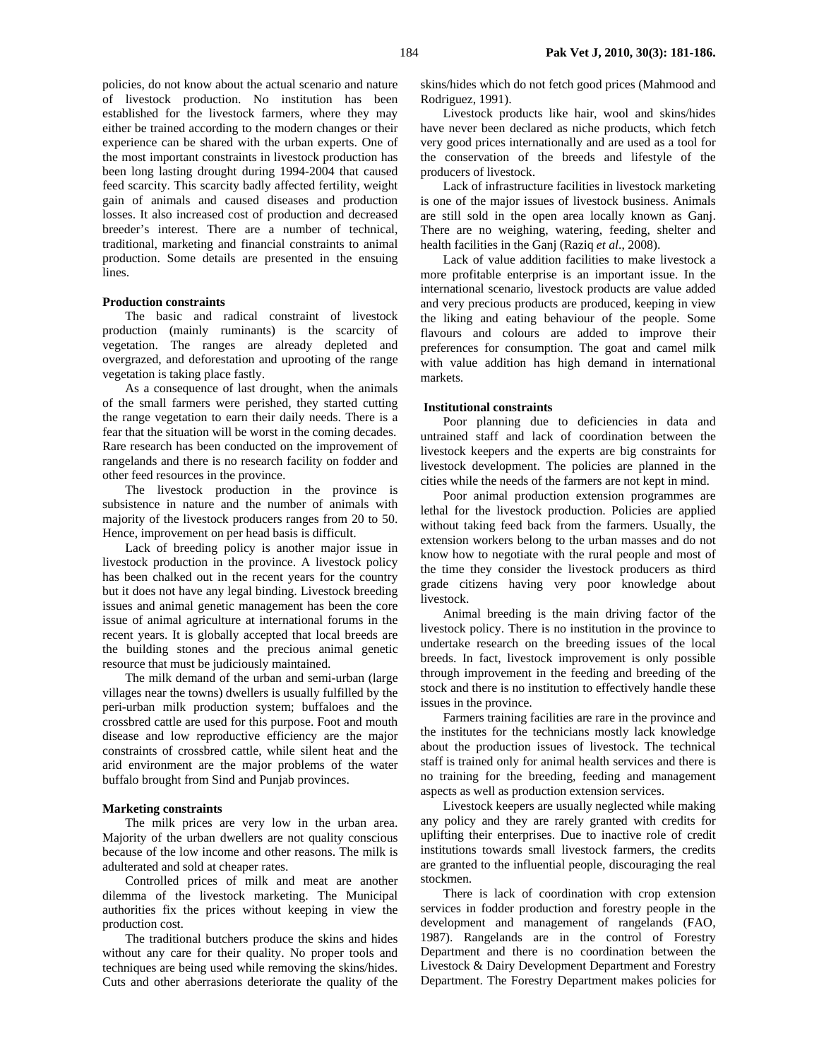policies, do not know about the actual scenario and nature of livestock production. No institution has been established for the livestock farmers, where they may either be trained according to the modern changes or their experience can be shared with the urban experts. One of the most important constraints in livestock production has been long lasting drought during 1994-2004 that caused feed scarcity. This scarcity badly affected fertility, weight gain of animals and caused diseases and production losses. It also increased cost of production and decreased breeder's interest. There are a number of technical, traditional, marketing and financial constraints to animal production. Some details are presented in the ensuing lines.

## **Production constraints**

The basic and radical constraint of livestock production (mainly ruminants) is the scarcity of vegetation. The ranges are already depleted and overgrazed, and deforestation and uprooting of the range vegetation is taking place fastly.

As a consequence of last drought, when the animals of the small farmers were perished, they started cutting the range vegetation to earn their daily needs. There is a fear that the situation will be worst in the coming decades. Rare research has been conducted on the improvement of rangelands and there is no research facility on fodder and other feed resources in the province.

The livestock production in the province is subsistence in nature and the number of animals with majority of the livestock producers ranges from 20 to 50. Hence, improvement on per head basis is difficult.

Lack of breeding policy is another major issue in livestock production in the province. A livestock policy has been chalked out in the recent years for the country but it does not have any legal binding. Livestock breeding issues and animal genetic management has been the core issue of animal agriculture at international forums in the recent years. It is globally accepted that local breeds are the building stones and the precious animal genetic resource that must be judiciously maintained.

The milk demand of the urban and semi-urban (large villages near the towns) dwellers is usually fulfilled by the peri-urban milk production system; buffaloes and the crossbred cattle are used for this purpose. Foot and mouth disease and low reproductive efficiency are the major constraints of crossbred cattle, while silent heat and the arid environment are the major problems of the water buffalo brought from Sind and Punjab provinces.

#### **Marketing constraints**

The milk prices are very low in the urban area. Majority of the urban dwellers are not quality conscious because of the low income and other reasons. The milk is adulterated and sold at cheaper rates.

Controlled prices of milk and meat are another dilemma of the livestock marketing. The Municipal authorities fix the prices without keeping in view the production cost.

The traditional butchers produce the skins and hides without any care for their quality. No proper tools and techniques are being used while removing the skins/hides. Cuts and other aberrasions deteriorate the quality of the

skins/hides which do not fetch good prices (Mahmood and Rodriguez, 1991).

Livestock products like hair, wool and skins/hides have never been declared as niche products, which fetch very good prices internationally and are used as a tool for the conservation of the breeds and lifestyle of the producers of livestock.

Lack of infrastructure facilities in livestock marketing is one of the major issues of livestock business. Animals are still sold in the open area locally known as Ganj. There are no weighing, watering, feeding, shelter and health facilities in the Ganj (Raziq *et al*., 2008).

Lack of value addition facilities to make livestock a more profitable enterprise is an important issue. In the international scenario, livestock products are value added and very precious products are produced, keeping in view the liking and eating behaviour of the people. Some flavours and colours are added to improve their preferences for consumption. The goat and camel milk with value addition has high demand in international markets.

### **Institutional constraints**

Poor planning due to deficiencies in data and untrained staff and lack of coordination between the livestock keepers and the experts are big constraints for livestock development. The policies are planned in the cities while the needs of the farmers are not kept in mind.

Poor animal production extension programmes are lethal for the livestock production. Policies are applied without taking feed back from the farmers. Usually, the extension workers belong to the urban masses and do not know how to negotiate with the rural people and most of the time they consider the livestock producers as third grade citizens having very poor knowledge about livestock.

Animal breeding is the main driving factor of the livestock policy. There is no institution in the province to undertake research on the breeding issues of the local breeds. In fact, livestock improvement is only possible through improvement in the feeding and breeding of the stock and there is no institution to effectively handle these issues in the province.

Farmers training facilities are rare in the province and the institutes for the technicians mostly lack knowledge about the production issues of livestock. The technical staff is trained only for animal health services and there is no training for the breeding, feeding and management aspects as well as production extension services.

Livestock keepers are usually neglected while making any policy and they are rarely granted with credits for uplifting their enterprises. Due to inactive role of credit institutions towards small livestock farmers, the credits are granted to the influential people, discouraging the real stockmen.

There is lack of coordination with crop extension services in fodder production and forestry people in the development and management of rangelands (FAO, 1987). Rangelands are in the control of Forestry Department and there is no coordination between the Livestock & Dairy Development Department and Forestry Department. The Forestry Department makes policies for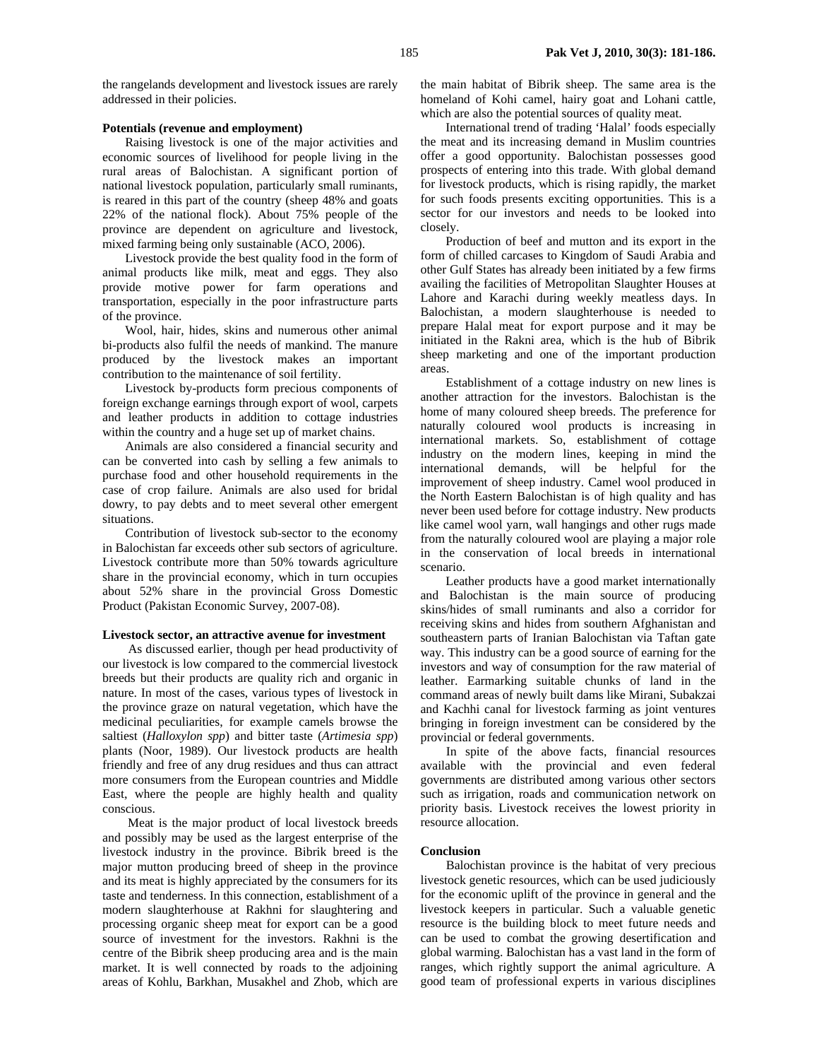the rangelands development and livestock issues are rarely addressed in their policies.

## **Potentials (revenue and employment)**

Raising livestock is one of the major activities and economic sources of livelihood for people living in the rural areas of Balochistan. A significant portion of national livestock population, particularly small ruminants, is reared in this part of the country (sheep 48% and goats 22% of the national flock). About 75% people of the province are dependent on agriculture and livestock, mixed farming being only sustainable (ACO, 2006).

Livestock provide the best quality food in the form of animal products like milk, meat and eggs. They also provide motive power for farm operations and transportation, especially in the poor infrastructure parts of the province.

Wool, hair, hides, skins and numerous other animal bi-products also fulfil the needs of mankind. The manure produced by the livestock makes an important contribution to the maintenance of soil fertility.

Livestock by-products form precious components of foreign exchange earnings through export of wool, carpets and leather products in addition to cottage industries within the country and a huge set up of market chains.

Animals are also considered a financial security and can be converted into cash by selling a few animals to purchase food and other household requirements in the case of crop failure. Animals are also used for bridal dowry, to pay debts and to meet several other emergent situations.

Contribution of livestock sub-sector to the economy in Balochistan far exceeds other sub sectors of agriculture. Livestock contribute more than 50% towards agriculture share in the provincial economy, which in turn occupies about 52% share in the provincial Gross Domestic Product (Pakistan Economic Survey, 2007-08).

#### **Livestock sector, an attractive avenue for investment**

As discussed earlier, though per head productivity of our livestock is low compared to the commercial livestock breeds but their products are quality rich and organic in nature. In most of the cases, various types of livestock in the province graze on natural vegetation, which have the medicinal peculiarities, for example camels browse the saltiest (*Halloxylon spp*) and bitter taste (*Artimesia spp*) plants (Noor, 1989). Our livestock products are health friendly and free of any drug residues and thus can attract more consumers from the European countries and Middle East, where the people are highly health and quality conscious.

Meat is the major product of local livestock breeds and possibly may be used as the largest enterprise of the livestock industry in the province. Bibrik breed is the major mutton producing breed of sheep in the province and its meat is highly appreciated by the consumers for its taste and tenderness. In this connection, establishment of a modern slaughterhouse at Rakhni for slaughtering and processing organic sheep meat for export can be a good source of investment for the investors. Rakhni is the centre of the Bibrik sheep producing area and is the main market. It is well connected by roads to the adjoining areas of Kohlu, Barkhan, Musakhel and Zhob, which are

the main habitat of Bibrik sheep. The same area is the homeland of Kohi camel, hairy goat and Lohani cattle, which are also the potential sources of quality meat.

International trend of trading 'Halal' foods especially the meat and its increasing demand in Muslim countries offer a good opportunity. Balochistan possesses good prospects of entering into this trade. With global demand for livestock products, which is rising rapidly, the market for such foods presents exciting opportunities. This is a sector for our investors and needs to be looked into closely.

Production of beef and mutton and its export in the form of chilled carcases to Kingdom of Saudi Arabia and other Gulf States has already been initiated by a few firms availing the facilities of Metropolitan Slaughter Houses at Lahore and Karachi during weekly meatless days. In Balochistan, a modern slaughterhouse is needed to prepare Halal meat for export purpose and it may be initiated in the Rakni area, which is the hub of Bibrik sheep marketing and one of the important production areas.

Establishment of a cottage industry on new lines is another attraction for the investors. Balochistan is the home of many coloured sheep breeds. The preference for naturally coloured wool products is increasing in international markets. So, establishment of cottage industry on the modern lines, keeping in mind the international demands, will be helpful for the improvement of sheep industry. Camel wool produced in the North Eastern Balochistan is of high quality and has never been used before for cottage industry. New products like camel wool yarn, wall hangings and other rugs made from the naturally coloured wool are playing a major role in the conservation of local breeds in international scenario.

Leather products have a good market internationally and Balochistan is the main source of producing skins/hides of small ruminants and also a corridor for receiving skins and hides from southern Afghanistan and southeastern parts of Iranian Balochistan via Taftan gate way. This industry can be a good source of earning for the investors and way of consumption for the raw material of leather. Earmarking suitable chunks of land in the command areas of newly built dams like Mirani, Subakzai and Kachhi canal for livestock farming as joint ventures bringing in foreign investment can be considered by the provincial or federal governments.

In spite of the above facts, financial resources available with the provincial and even federal governments are distributed among various other sectors such as irrigation, roads and communication network on priority basis. Livestock receives the lowest priority in resource allocation.

#### **Conclusion**

Balochistan province is the habitat of very precious livestock genetic resources, which can be used judiciously for the economic uplift of the province in general and the livestock keepers in particular. Such a valuable genetic resource is the building block to meet future needs and can be used to combat the growing desertification and global warming. Balochistan has a vast land in the form of ranges, which rightly support the animal agriculture. A good team of professional experts in various disciplines